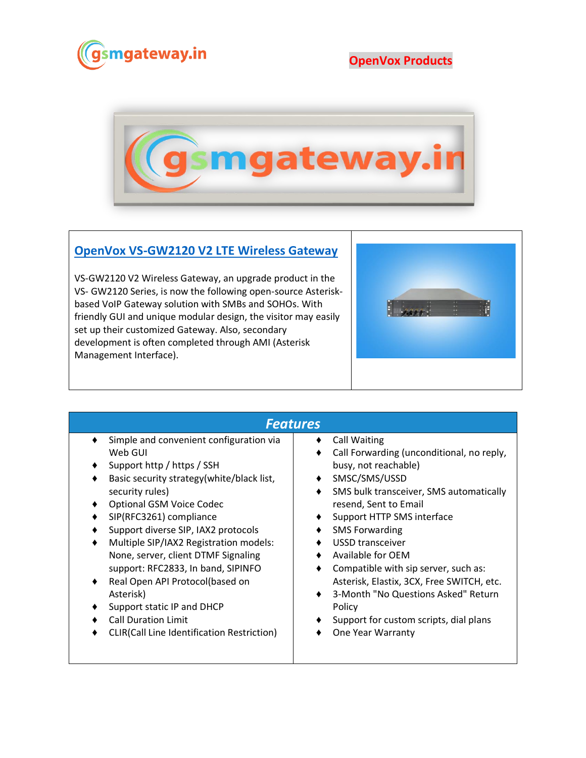

**OpenVox Products**



## **[OpenVox VS-GW2120 V2 LTE Wireless Gateway](https://www.gsmgateway.in/openvox/VS-GW2120-V2-LTE-Wireless-Gateway.html)**

VS-GW2120 V2 Wireless Gateway, an upgrade product in the VS- GW2120 Series, is now the following open-source Asteriskbased VoIP Gateway solution with SMBs and SOHOs. With friendly GUI and unique modular design, the visitor may easily set up their customized Gateway. Also, secondary development is often completed through AMI (Asterisk Management Interface).



## *Features*

- ♦ Simple and convenient configuration via Web GUI
- ♦ Support http / https / SSH
- ♦ Basic security strategy(white/black list, security rules)
- ♦ Optional GSM Voice Codec
- ♦ SIP(RFC3261) compliance
- Support diverse SIP, IAX2 protocols
- Multiple SIP/IAX2 Registration models: None, server, client DTMF Signaling support: RFC2833, In band, SIPINFO
- ♦ Real Open API Protocol(based on Asterisk)
- ♦ Support static IP and DHCP
- ♦ Call Duration Limit
- ♦ CLIR(Call Line Identification Restriction)
- ♦ Call Waiting
- ♦ Call Forwarding (unconditional, no reply, busy, not reachable)
- ♦ SMSC/SMS/USSD
- ♦ SMS bulk transceiver, SMS automatically resend, Sent to Email
- ♦ Support HTTP SMS interface
- ♦ SMS Forwarding
- ♦ USSD transceiver
- ♦ Available for OEM
- ♦ Compatible with sip server, such as: Asterisk, Elastix, 3CX, Free SWITCH, etc.
- ♦ 3-Month "No Questions Asked" Return Policy
- ♦ Support for custom scripts, dial plans
- ♦ One Year Warranty